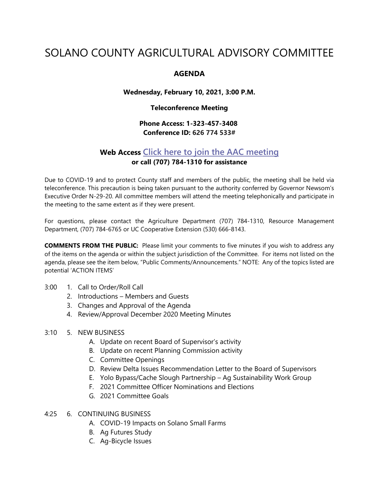# SOLANO COUNTY AGRICULTURAL ADVISORY COMMITTEE

## **AGENDA**

#### **Wednesday, February 10, 2021, 3:00 P.M.**

#### **Teleconference Meeting**

# **Phone Access: 1-323-457-3408 Conference ID: 626 774 533#**

# **Web Access [Click here to join the AAC meeting](https://teams.microsoft.com/l/meetup-join/19%3ameeting_MDI1ZDEyYmItY2I4Zi00MWMxLWIxM2ItNzRiYmRmMWY5ZGNk%40thread.v2/0?context=%7b%22Tid%22%3a%225e7f20ac-e5f1-4f83-8c3b-ce44b8486421%22%2c%22Oid%22%3a%229b7e0b10-9feb-4114-92ef-db737a66fd13%22%7d) or call (707) 784-1310 for assistance**

Due to COVID-19 and to protect County staff and members of the public, the meeting shall be held via teleconference. This precaution is being taken pursuant to the authority conferred by Governor Newsom's Executive Order N-29-20. All committee members will attend the meeting telephonically and participate in the meeting to the same extent as if they were present.

For questions, please contact the Agriculture Department (707) 784-1310, Resource Management Department, (707) 784-6765 or UC Cooperative Extension (530) 666-8143.

**COMMENTS FROM THE PUBLIC:** Please limit your comments to five minutes if you wish to address any of the items on the agenda or within the subject jurisdiction of the Committee. For items not listed on the agenda, please see the item below, "Public Comments/Announcements." NOTE: Any of the topics listed are potential 'ACTION ITEMS'

- 3:00 1. Call to Order/Roll Call
	- 2. Introductions Members and Guests
	- 3. Changes and Approval of the Agenda
	- 4. Review/Approval December 2020 Meeting Minutes

### 3:10 5. NEW BUSINESS

- A. Update on recent Board of Supervisor's activity
- B. Update on recent Planning Commission activity
- C. Committee Openings
- D. Review Delta Issues Recommendation Letter to the Board of Supervisors
- E. Yolo Bypass/Cache Slough Partnership Ag Sustainability Work Group
- F. 2021 Committee Officer Nominations and Elections
- G. 2021 Committee Goals

### 4:25 6. CONTINUING BUSINESS

- A. COVID-19 Impacts on Solano Small Farms
- B. Ag Futures Study
- C. Ag-Bicycle Issues